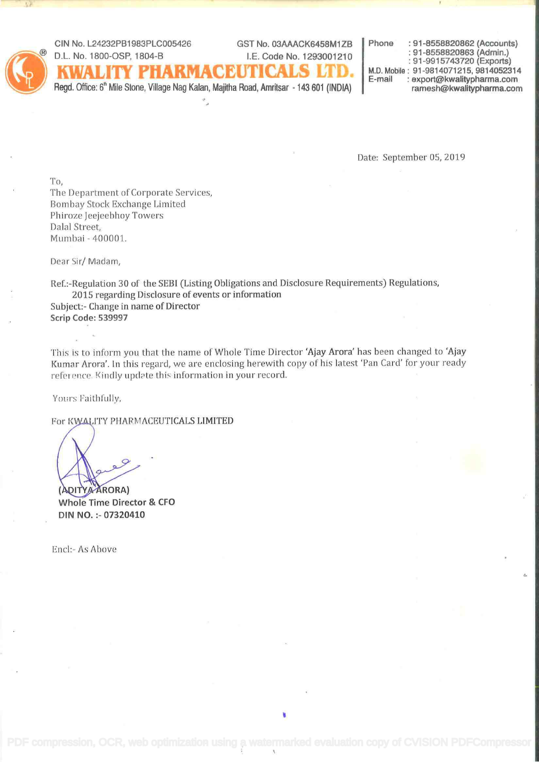GIN No. L24232PB1983PLC005426 GST No. O3AAACK6458M1ZB Phone : 91-8558820862 (Accóunts) ® D.L. No. 1800-OSP, 1804-B I.E. Code No. 1293001210 : 91-8558820863 (Admin.) : 91-9915743720 (Exports)  $\text{ENTICALS}$  LTD. Mobile : 91-9814071215, 9814052314 : export@kwalitypharma.com<br>ramesh@kwalitypharma.com

Regd. Office: 6<sup>th</sup> Mile Stone, Village Nag Kalan, Majitha Road, Amritsar - 143 601 (INDIA) ÷.

Date: September 05, 2019

To, The Department of Corporate Services, Bombay Stock Exchange Limited Phiroze Jeejeebhoy Towers Dalai Street, Mumbai - 400001.

Dear Sir/ Madam,

Ref.:-Reguiation 30 of the SEBI (Listing Obligations and Disclosure Requirements) Regulations, 2015 regarding Disclosure of events or information

Subject:- Change in name of Director Scrip Code: 539997

This is to inform you that the name of Whole Time Director 'Ajay Arora' has been changed to 'Ajay Kumar Arora'. In this regard, we are enclosing herewith copy of his latest 'Pan Card' for your ready reference. Kindly update this information in your record.

Yours Faithfully,

For KWALITY PHARMACEUTICALS LIMITED

(ADITYA ARORA) Whole Time Director & CFO DIN NO. :- 07320410

Encl: As Above